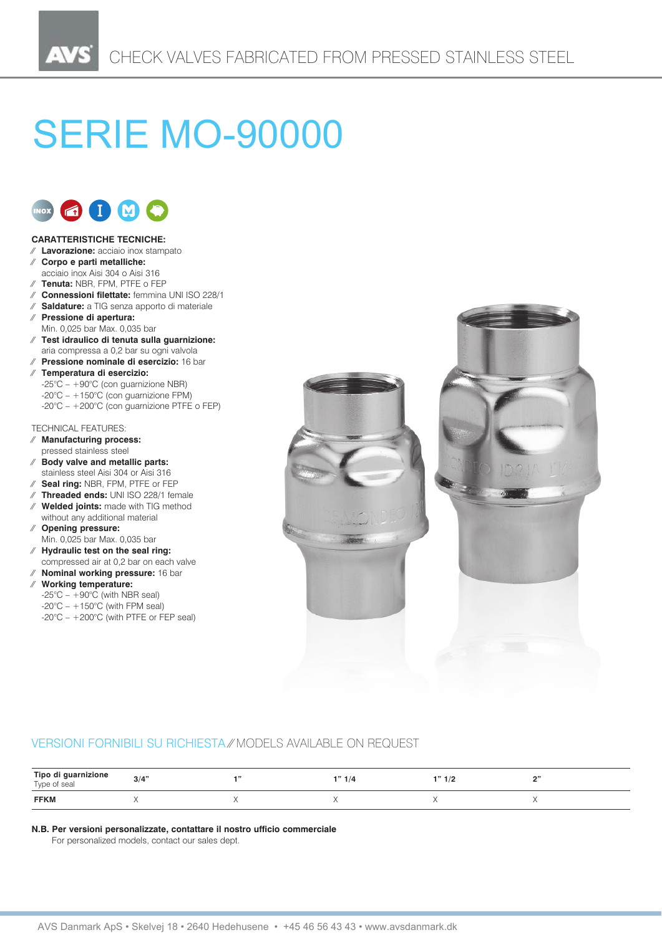# **SERIE MO-90000**



## **CARATTERISTICHE TECNICHE:**

- ⁄⁄ **Lavorazione:** acciaio inox stampato
- ⁄⁄ **Corpo e parti metalliche:**
- acciaio inox Aisi 304 o Aisi 316
- ⁄⁄ **Tenuta:** NBR, FPM, PTFE o FEP
- ⁄⁄ **Connessioni filettate:** femmina UNI ISO 228/1 ⁄⁄ **Saldature:** a TIG senza apporto di materiale
- ⁄⁄ **Pressione di apertura:**
- Min. 0,025 bar Max. 0,035 bar
- ⁄⁄ **Test idraulico di tenuta sulla guarnizione:** aria compressa a 0,2 bar su ogni valvola
- ⁄⁄ **Pressione nominale di esercizio:** 16 bar
- ⁄⁄ **Temperatura di esercizio:**  $-25^{\circ}\text{C} - +90^{\circ}\text{C}$  (con guarnizione NBR)  $-20^{\circ}$ C –  $+150^{\circ}$ C (con guarnizione FPM) -20°C – +200°C (con guarnizione PTFE o FEP)

## TECHNICAL FEATURES:

- ⁄⁄ **Manufacturing process:**
- pressed stainless steel ⁄⁄ **Body valve and metallic parts:**
- stainless steel Aisi 304 or Aisi 316
- ⁄⁄ **Seal ring:** NBR, FPM, PTFE or FEP
- ⁄⁄ **Threaded ends:** UNI ISO 228/1 female
- ⁄⁄ **Welded joints:** made with TIG method without any additional material
- ⁄⁄ **Opening pressure:** Min. 0,025 bar Max. 0,035 bar
- ⁄⁄ **Hydraulic test on the seal ring:** compressed air at 0,2 bar on each valve
- ⁄⁄ **Nominal working pressure:** 16 bar
- ⁄⁄ **Working temperature:**
	- $-25^{\circ}$ C  $+90^{\circ}$ C (with NBR seal)  $-20^{\circ}$ C –  $+150^{\circ}$ C (with FPM seal) -20°C – +200°C (with PTFE or FEP seal)



## VERSIONI FORNIBILI SU RICHIESTA ⁄⁄ MODELS AVAILABLE ON REQUEST

| Tipo di guarnizione<br>Type of seal | 3/4" | 1"1'' | $\overline{10}$<br>. <i>.</i> . | $\sim$ |
|-------------------------------------|------|-------|---------------------------------|--------|
| <b>FFKM</b>                         |      |       |                                 |        |

#### **N.B. Per versioni personalizzate, contattare il nostro ufficio commerciale**

For personalized models, contact our sales dept.